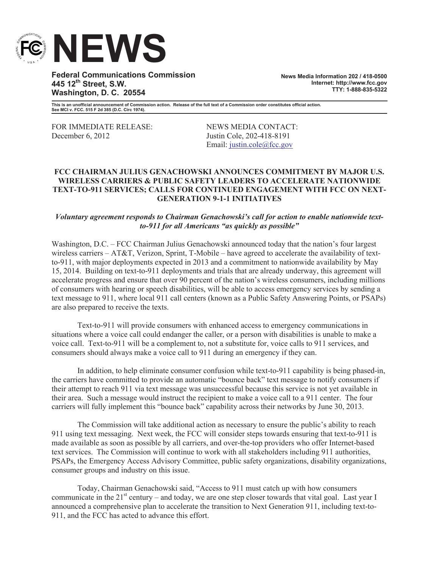

**Federal Communications Commission 445 12th Street, S.W. Washington, D. C. 20554**

**News Media Information 202 / 418-0500 Internet: http://www.fcc.gov TTY: 1-888-835-5322**

**This is an unofficial announcement of Commission action. Release of the full text of a Commission order constitutes official action. See MCI v. FCC. 515 F 2d 385 (D.C. Circ 1974).**

FOR IMMEDIATE RELEASE: NEWS MEDIA CONTACT: December 6, 2012 Justin Cole, 202-418-8191

Email: justin.cole@fcc.gov

## **FCC CHAIRMAN JULIUS GENACHOWSKI ANNOUNCES COMMITMENT BY MAJOR U.S. WIRELESS CARRIERS & PUBLIC SAFETY LEADERS TO ACCELERATE NATIONWIDE TEXT-TO-911 SERVICES; CALLS FOR CONTINUED ENGAGEMENT WITH FCC ON NEXT-GENERATION 9-1-1 INITIATIVES**

*Voluntary agreement responds to Chairman Genachowski's call for action to enable nationwide textto-911 for all Americans "as quickly as possible"* 

Washington, D.C. – FCC Chairman Julius Genachowski announced today that the nation's four largest wireless carriers – AT&T, Verizon, Sprint, T-Mobile – have agreed to accelerate the availability of textto-911, with major deployments expected in 2013 and a commitment to nationwide availability by May 15, 2014. Building on text-to-911 deployments and trials that are already underway, this agreement will accelerate progress and ensure that over 90 percent of the nation's wireless consumers, including millions of consumers with hearing or speech disabilities, will be able to access emergency services by sending a text message to 911, where local 911 call centers (known as a Public Safety Answering Points, or PSAPs) are also prepared to receive the texts.

Text-to-911 will provide consumers with enhanced access to emergency communications in situations where a voice call could endanger the caller, or a person with disabilities is unable to make a voice call. Text-to-911 will be a complement to, not a substitute for, voice calls to 911 services, and consumers should always make a voice call to 911 during an emergency if they can.

In addition, to help eliminate consumer confusion while text-to-911 capability is being phased-in, the carriers have committed to provide an automatic "bounce back" text message to notify consumers if their attempt to reach 911 via text message was unsuccessful because this service is not yet available in their area. Such a message would instruct the recipient to make a voice call to a 911 center. The four carriers will fully implement this "bounce back" capability across their networks by June 30, 2013.

The Commission will take additional action as necessary to ensure the public's ability to reach 911 using text messaging. Next week, the FCC will consider steps towards ensuring that text-to-911 is made available as soon as possible by all carriers, and over-the-top providers who offer Internet-based text services. The Commission will continue to work with all stakeholders including 911 authorities, PSAPs, the Emergency Access Advisory Committee, public safety organizations, disability organizations, consumer groups and industry on this issue.

Today, Chairman Genachowski said, "Access to 911 must catch up with how consumers communicate in the  $21^{st}$  century – and today, we are one step closer towards that vital goal. Last year I announced a comprehensive plan to accelerate the transition to Next Generation 911, including text-to-911, and the FCC has acted to advance this effort.